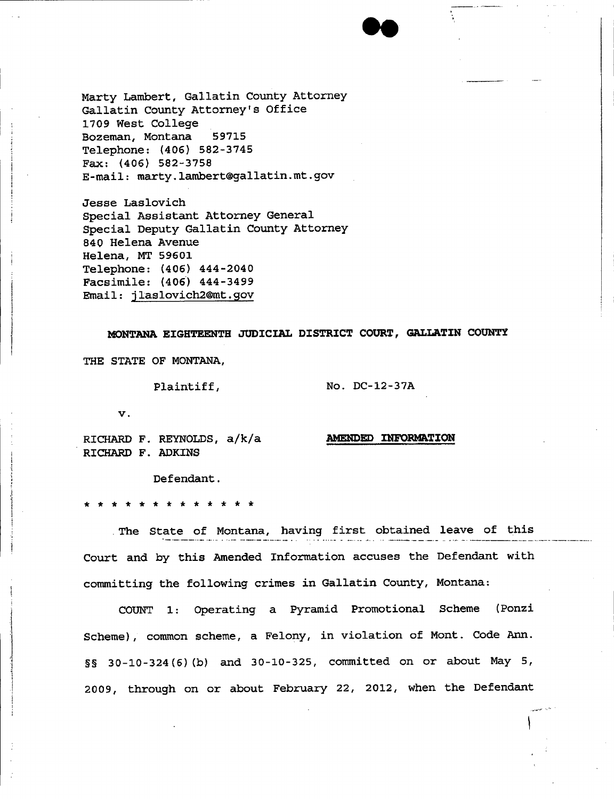

Marty Lambert, Gallatin County Attorney Gallatin County Attorney's Office 1709 West College Bozeman, Montana 59715 Telephone: (406) 582-3745 Fax: (406) 582-3758 E-mail: [marty.lambert@gallatin.mt.gov](mailto:marty.lambert@gallatin.mt.gov)

Jesse Laslovich Special Assistant Attorney General Special Deputy Gallatin County Attorney 840 Helena Avenue Helena, MT 59601 Telephone: (406) 444-2040 Facsimile: (406) 444-3499 Email: [jlaslovich2@mt.gov](mailto:jlaslovich2@mt.gov)

# **MONTANA EIGHTEENTH JUDICIAL DISTRICT COURT, GALLATIN COUN'l'Y**

THE STATE OF MONTANA.

Plaintiff,

No. DC-12-37A

v.

j In the local property of the local property of the local property of the local property of the local property of the local property of the local property of the local property of the local property of the local property of .\  $\mathbf{I}$ •  $\ddot{}$ i .j

RICHARD F. REYNOLDS, a/k/a RICHARD F. ADKINS

**AMENDED INFORMATION**

Defendant.

\* \* \* \* \* \* \* \* \* \* \* \* \*

.The State of Montana, having first obtained leave of this Court and by this Amended Information accuses the Defendant with committing the following crimes in Gallatin County, Montana:

COUNT 1: operating a Pyramid Promotional Scheme (Ponzi Scheme), common scheme, a Felony, in violation of Mont. Code Ann. ~~ 30-10-324 (6)(b) and 30-10-325, committed on or about May 5, 2009, through on or about February 22, 2012, when the Defendant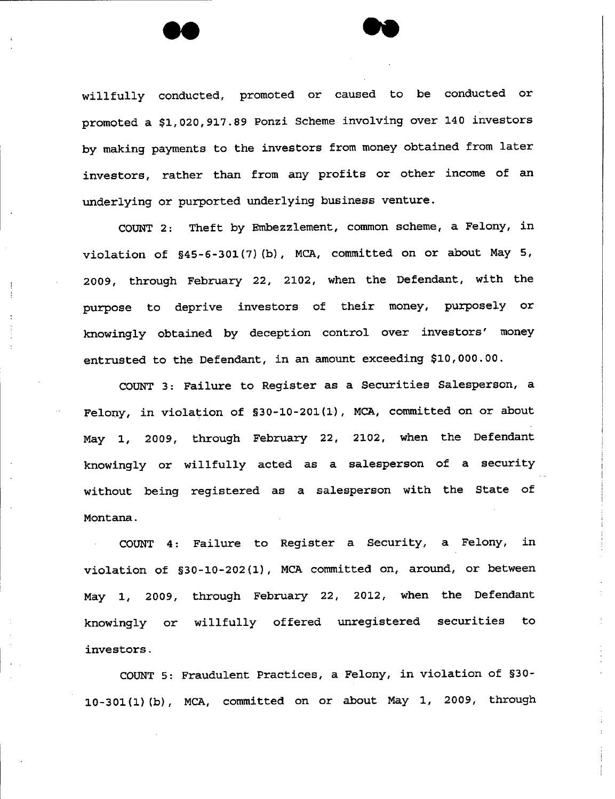willfully conducted, promoted or caused to be conducted or promoted a \$1,020,917.89 Ponzi Scheme involving over 140 investors by making payments to the investors from money obtained from later investors, rather than from any profits or other income of an underlying or purported underlying business venture.

COUNT 2: Theft by Embezzlement, common scheme, a Felony, in violation of  $$45-6-301 (7) (b)$ , MCA, committed on or about May 5, 2009, through February 22, 2102, when the Defendant, with the purpose to deprive investors of their money, purposely or knowingly obtained by deception control over investors' money entrusted to the Defendant, in an amount exceeding \$10,000.00.

COUNT 3: Failure to Register as a Securities Salesperson, a Felony, in violation of \$30-10-201(1), MCA, committed on or about May 1, 2009, through February 22, 2102, when the Defendant knowingly or willfully acted as a salesperson of a security without being registered as a salesperson with the State of Montana.

COUNT 4: Failure to Register a Security, a Felony, in violation of \$30-10-202(1), MCA committed on, around, or between May 1, 2009, through February 22, 2012, when the Defendant knowingly or willfully offered unregistered securities to investors.

COUNT 5: Fraudulent Practices, a Felony, in violation of §30-10-301 (1)(b), MCA, committed on or about May 1, 2009, through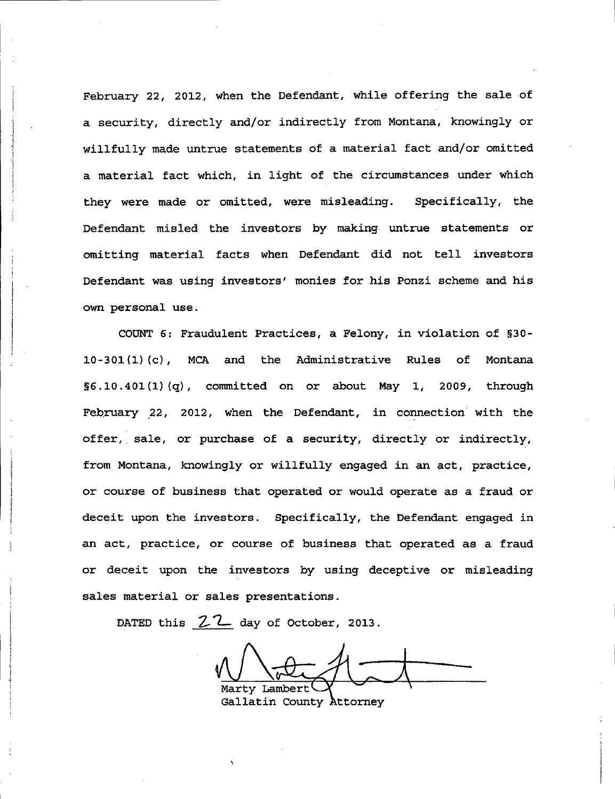February 22, 2012, when the Defendant, while offering the sale of a security, directly and/or indirectly from Montana, knowingly or willfully made untrue statements of a material fact and/or omitted a material fact which, in light of the circumstances under which they were made or omitted, were misleading. Specifically, the Defendant misled the investors by making untrue statements or omitting material facts when Defendant did not tell investors Defendant was using investors' monies for his Ponzi scheme and his own personal use.

COUNT 6: Fraudulent Practices, a Felony, in violation of §30-10-301 (1) (c), MCA and the Administrative Rules of Montana S6.10.401(1) (q), committed on or about May I, 2009, through February 22, 2012, when the Defendant, in connection with the offer, sale, or purchase of a security, directly or indirectly, from Montana, knowingly or willfully engaged in an act, practice, or course of business that operated or would operate as a fraud or deceit upon the investors. Specifically, the Defendant engaged in an act, practice, or course of business that operated as a fraud or deceit upon the investors by using deceptive or misleading sales material or sales presentations.

DATED this Z.*l-* day of October, 2013.

Marty Lambert

Gallatin County Attorney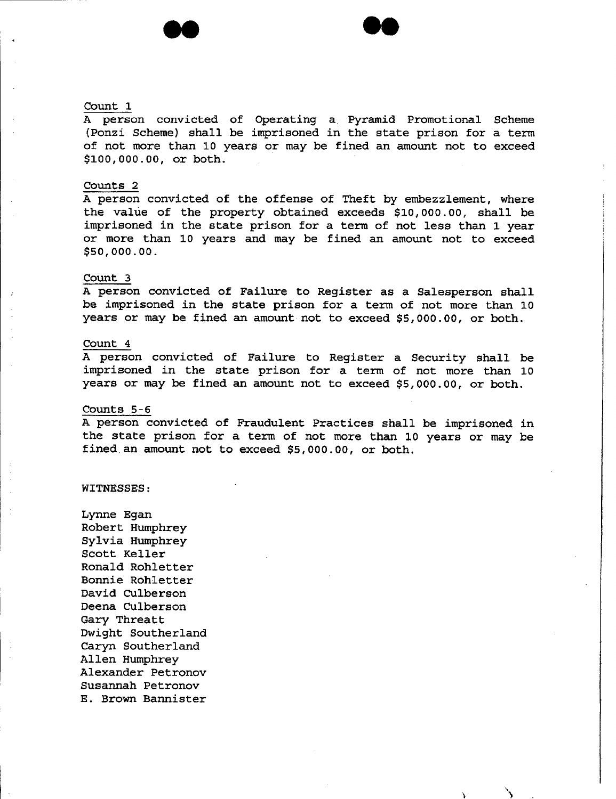## Count 1

A person convicted of Operating a Pyramid Promotional Scheme (Ponzi Scheme) shall be imprisoned in the state prison for a term of not more than 10 years or may be fined an amount not to exceed \$100,000.00, or both.

# Counts 2

A person convicted of the offense of Theft by embezzlement, where the value of the property obtained exceeds \$10,000.00, shall be imprisoned in the state prison for a term of not less than 1 year or more than 10 years and may be fined an amount not to exceed \$50,000.00.

#### Count 3

A person convicted of Failure to Register as a Salesperson shall be imprisoned *in* the state prison for a term of not more than 10 years or may be fined an amount not to exceed \$5,000.00, or both.

## Count 4

A person convicted of Failure to Register a Security shall be imprisoned *in* the state prison for <sup>a</sup> term of not more than <sup>10</sup> years or may be fined an amount not to exceed \$5,000.00, or both.

#### Counts 5-6

A person convicted of Fraudulent Practices shall be imprisoned in the state prison for a term of not more than 10 years or may be fined an amount not to exceed \$5,000.00, or both.

 $\mathcal{L}$  and  $\mathcal{L}$ 

#### WITNESSES:

LYnne Egan Robert Humphrey Sylvia Humphrey Scott Keller Ronald Rohletter *Bonnie* Rohletter David CUlberson Deena CUlberson Gary Threatt Dwight Southerland CarYn Southerland Allen Humphrey Alexander Petronov Susannah Petronov E. Brown Bannister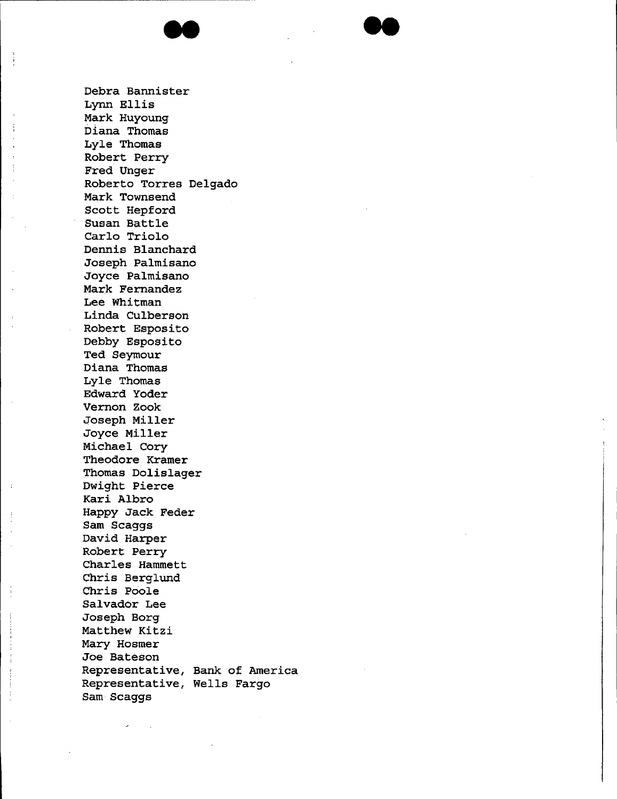

Debra Bannister Lynn Ellis Mark Huyoung Diana Thomas Lyle Thomas Robert Perry Fred Unger Roberto Torres Delgado Mark Townsend Scott Hepford Susan Battle Carlo Triolo Dennis Blanchard Joseph Palmisano Joyce Palmisano Mark Fernandez Lee Whitman Linda Culberson Robert Esposito Debby Esposito Ted Seymour Diana Thomas Lyle Thomas Edward Yoder Vernon Zook .Joseph Miller Joyce Miller Michael Cory Theodore Kramer Thomas Dolislager Dwight Pierce Kari Albro Happy Jack Feder Sam Scaggs David Harper Robert Perry Charles Hammett Chris Berglund Chris Poole Salvador Lee Joseph Borg Matthew Kitzi Mary Hosmer Joe Bateson Representative, Bank of America Representative, Wells Fargo Sam Scaggs

--

 $\begin{array}{c} 1 \\ 1 \\ 1 \end{array}$ 

 $\frac{1}{4}$ 

 $\vdots$ 

Ť